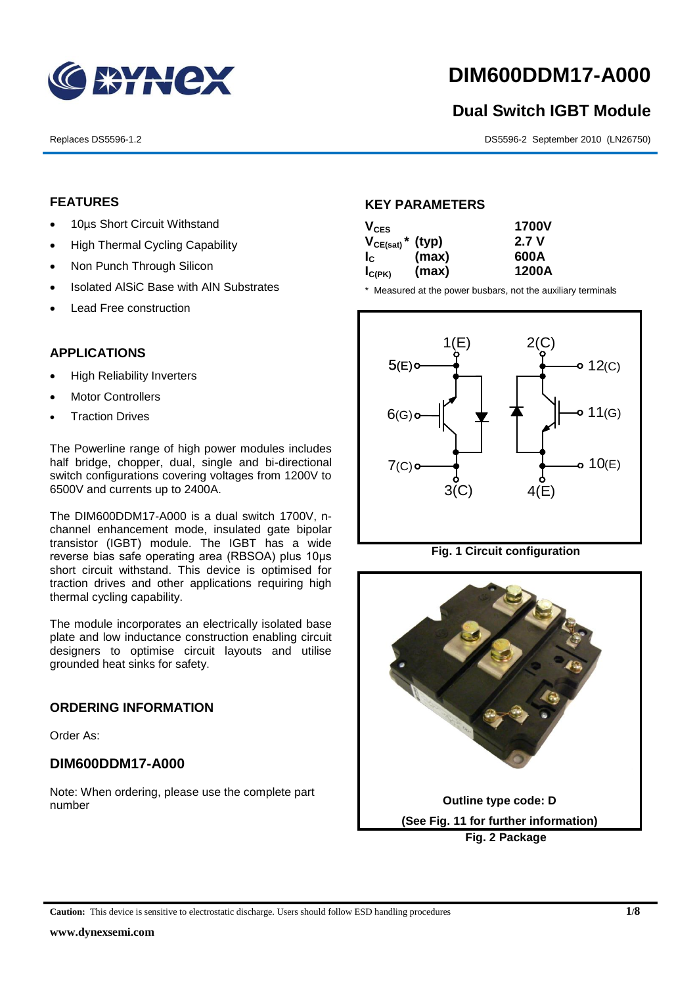

# **DIM600DDM17-A000**

# **Dual Switch IGBT Module** 1<br>1<br>1

Replaces DS5596-1.2 DS5596-2 September 2010 (LN26750)

### **FEATURES**

- 10µs Short Circuit Withstand
	- High Thermal Cycling Capability
- Non Punch Through Silicon
	- Isolated AISiC Base with AIN Substrates
	- Lead Free construction

## **APPLICATIONS**

- High Reliability Inverters
- Motor Controllers
- Traction Drives

The Powerline range of high power modules includes half bridge, chopper, dual, single and bi-directional switch configurations covering voltages from 1200V to 6500V and currents up to 2400A.

The DIM600DDM17-A000 is a dual switch 1700V, nchannel enhancement mode, insulated gate bipolar transistor (IGBT) module. The IGBT has a wide reverse bias safe operating area (RBSOA) plus 10μs short circuit withstand. This device is optimised for traction drives and other applications requiring high thermal cycling capability.

The module incorporates an electrically isolated base plate and low inductance construction enabling circuit designers to optimise circuit layouts and utilise grounded heat sinks for safety.

#### **ORDERING INFORMATION**

Order As:

#### **DIM600DDM17-A000**

Note: When ordering, please use the complete part number

#### **KEY PARAMETERS**

| $V_{CES}$                        |       | <b>1700V</b> |
|----------------------------------|-------|--------------|
| $V_{CE(sat)}$ <sup>*</sup> (typ) |       | 2.7 V        |
| $I_c$                            | (max) | 600A         |
| $I_{C(PK)}$                      | (max) | 1200A        |

\* Measured at the power busbars, not the auxiliary terminals



**Fig. 1 Circuit configuration**

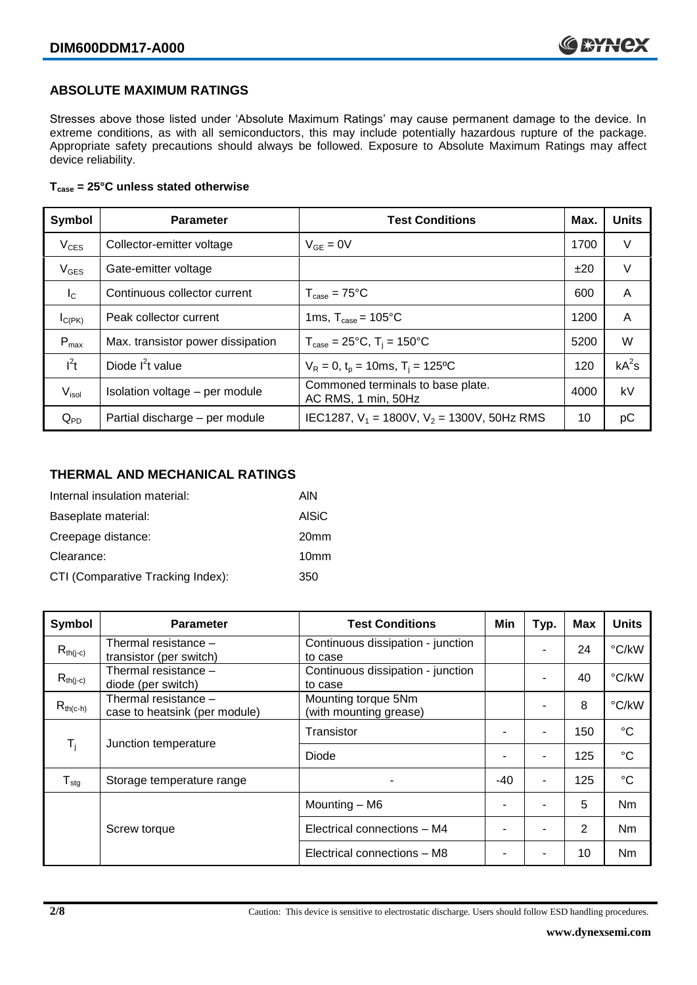### **ABSOLUTE MAXIMUM RATINGS**

Stresses above those listed under 'Absolute Maximum Ratings' may cause permanent damage to the device. In extreme conditions, as with all semiconductors, this may include potentially hazardous rupture of the package. Appropriate safety precautions should always be followed. Exposure to Absolute Maximum Ratings may affect device reliability.

#### **Tcase = 25°C unless stated otherwise**

| Symbol            | <b>Parameter</b><br><b>Test Conditions</b> |                                                          | Max. | <b>Units</b> |
|-------------------|--------------------------------------------|----------------------------------------------------------|------|--------------|
| $V_{CES}$         | Collector-emitter voltage                  | $V_{GF} = 0V$                                            | 1700 | $\vee$       |
| $V_{GES}$         | Gate-emitter voltage                       |                                                          | ±20  | $\vee$       |
| $I_{\rm C}$       | Continuous collector current               | $T_{\text{case}} = 75^{\circ}C$                          | 600  | A            |
| $I_{C(PK)}$       | Peak collector current                     | 1ms, $T_{\text{case}} = 105^{\circ}$ C                   | 1200 | A            |
| $P_{max}$         | Max. transistor power dissipation          | $T_{\text{case}} = 25^{\circ}C$ , $T_i = 150^{\circ}C$   | 5200 | W            |
| $I^2t$            | Diode $I^2t$ value                         | $V_R = 0$ , $t_p = 10$ ms, $T_i = 125$ °C                | 120  | $kA^2s$      |
| V <sub>isol</sub> | Isolation voltage - per module             | Commoned terminals to base plate.<br>AC RMS, 1 min, 50Hz | 4000 | kV           |
| $Q_{PD}$          | Partial discharge - per module             | IEC1287, $V_1$ = 1800V, $V_2$ = 1300V, 50Hz RMS          | 10   | рC           |

#### **THERMAL AND MECHANICAL RATINGS**

| Internal insulation material:     | AIN              |
|-----------------------------------|------------------|
| Baseplate material:               | <b>AISiC</b>     |
| Creepage distance:                | 20 <sub>mm</sub> |
| Clearance:                        | 10mm             |
| CTI (Comparative Tracking Index): | 350              |

| Symbol                     | <b>Parameter</b>                                      | <b>Test Conditions</b>                        | Min   | Typ. | <b>Max</b> | <b>Units</b>    |
|----------------------------|-------------------------------------------------------|-----------------------------------------------|-------|------|------------|-----------------|
| $R_{th(i-c)}$              | Thermal resistance -<br>transistor (per switch)       | Continuous dissipation - junction<br>to case  |       |      | 24         | °C/kW           |
| $R_{th(j-c)}$              | Thermal resistance –<br>diode (per switch)            | Continuous dissipation - junction<br>to case  |       |      | 40         | °C/kW           |
| $R_{th(c-h)}$              | Thermal resistance -<br>case to heatsink (per module) | Mounting torque 5Nm<br>(with mounting grease) |       |      | 8          | °C/kW           |
| $T_i$                      | Junction temperature                                  | Transistor                                    |       | ٠    | 150        | $^{\circ}C$     |
|                            |                                                       | Diode                                         |       | ۰    | 125        | $^{\circ}C$     |
| ${\mathsf T}_{\text{stg}}$ | Storage temperature range                             |                                               | $-40$ | ۰    | 125        | $\rm ^{\circ}C$ |
|                            |                                                       | Mounting - M6                                 |       |      | 5          | Nm              |
|                            | Screw torque                                          | Electrical connections - M4                   |       |      | 2          | Nm              |
|                            |                                                       | Electrical connections - M8                   |       |      | 10         | Nm              |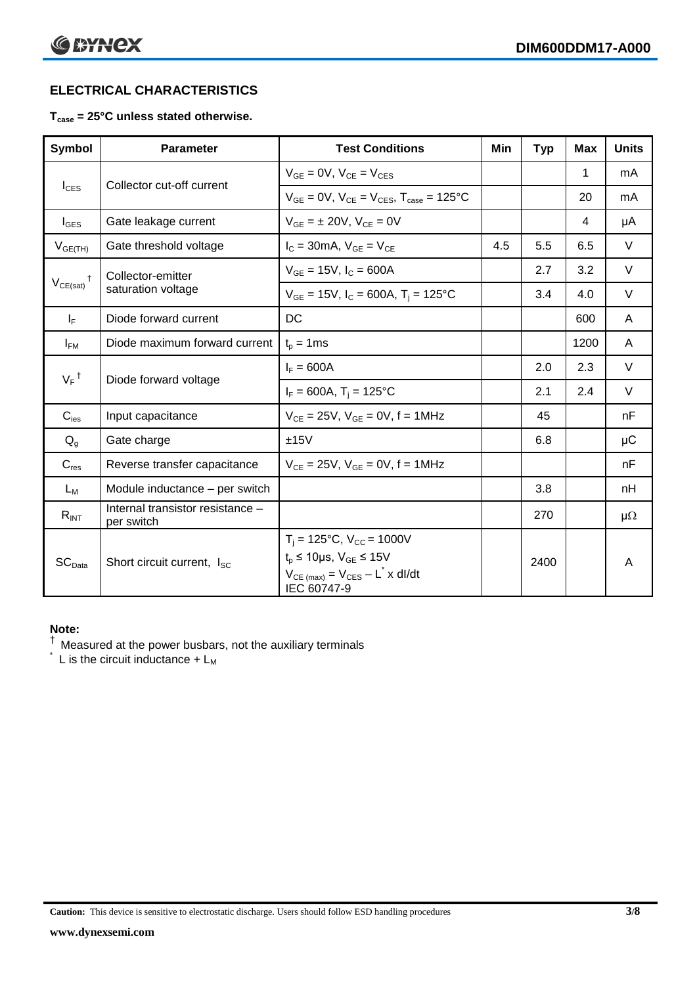# **ELECTRICAL CHARACTERISTICS**

### **Tcase = 25°C unless stated otherwise.**

| Symbol             | <b>Parameter</b>                               | <b>Test Conditions</b>                                                                                                                          | Min | <b>Typ</b> | <b>Max</b> | <b>Units</b> |
|--------------------|------------------------------------------------|-------------------------------------------------------------------------------------------------------------------------------------------------|-----|------------|------------|--------------|
| $I_{\text{CES}}$   | Collector cut-off current                      | $V_{GE} = 0V$ , $V_{CE} = V_{CES}$                                                                                                              |     |            | 1          | mA           |
|                    |                                                | $V_{GF} = 0V$ , $V_{CF} = V_{CES}$ , $T_{case} = 125^{\circ}C$                                                                                  |     |            | 20         | mA           |
| $I_{\text{GES}}$   | Gate leakage current                           | $V_{GF} = \pm 20V$ , $V_{CF} = 0V$                                                                                                              |     |            | 4          | μA           |
| $V_{GE(TH)}$       | Gate threshold voltage                         | $I_C = 30mA$ , $V_{GF} = V_{CF}$                                                                                                                | 4.5 | 5.5        | 6.5        | V            |
|                    | Collector-emitter                              | $V_{GE} = 15V$ , $I_C = 600A$                                                                                                                   |     | 2.7        | 3.2        | $\vee$       |
| $V_{CE(sat)}$      | saturation voltage                             | $V_{GE}$ = 15V, $I_C$ = 600A, T <sub>i</sub> = 125°C                                                                                            |     | 3.4        | 4.0        | $\vee$       |
| $I_F$              | Diode forward current                          | DC                                                                                                                                              |     |            | 600        | A            |
| $I_{FM}$           | Diode maximum forward current                  | $t_p = 1$ ms                                                                                                                                    |     |            | 1200       | A            |
|                    |                                                | $I_F = 600A$                                                                                                                                    |     | 2.0        | 2.3        | $\vee$       |
| $V_F$ <sup>†</sup> | Diode forward voltage                          | $I_F = 600A$ , $T_i = 125^{\circ}C$                                                                                                             |     | 2.1        | 2.4        | V            |
| $C_{\text{ies}}$   | Input capacitance                              | $V_{CE} = 25V$ , $V_{GE} = 0V$ , f = 1MHz                                                                                                       |     | 45         |            | nF           |
| $Q_q$              | Gate charge                                    | ±15V                                                                                                                                            |     | 6.8        |            | μC           |
| $C_{res}$          | Reverse transfer capacitance                   | $V_{CF} = 25V$ , $V_{GF} = 0V$ , f = 1MHz                                                                                                       |     |            |            | nF           |
| $L_M$              | Module inductance - per switch                 |                                                                                                                                                 |     | 3.8        |            | nH           |
| $R_{INT}$          | Internal transistor resistance -<br>per switch |                                                                                                                                                 |     | 270        |            | $\mu\Omega$  |
| SC <sub>Data</sub> | Short circuit current, I <sub>SC</sub>         | $T_i = 125$ °C, $V_{CC} = 1000V$<br>$t_p \le 10 \mu s$ , $V_{GE} \le 15V$<br>$V_{CE \text{ (max)}} = V_{CES} - L^* \times dl/dt$<br>IEC 60747-9 |     | 2400       |            | A            |

#### **Note:**

 $^{\dagger}$  Measured at the power busbars, not the auxiliary terminals

 $\check{}$  L is the circuit inductance +  $L_M$ 

**Caution:** This device is sensitive to electrostatic discharge. Users should follow ESD handling procedures **3/8**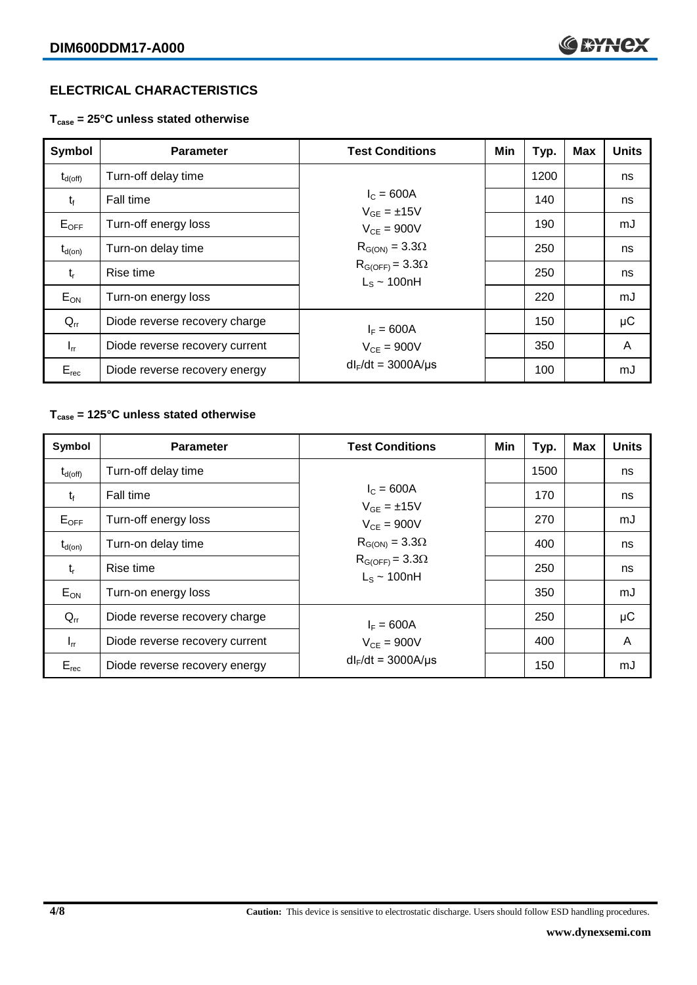# **ELECTRICAL CHARACTERISTICS**

**Tcase = 25°C unless stated otherwise**

| Symbol              | <b>Parameter</b>               | <b>Test Conditions</b>                       | Min | Typ. | <b>Max</b> | <b>Units</b> |
|---------------------|--------------------------------|----------------------------------------------|-----|------|------------|--------------|
| $t_{d(\text{off})}$ | Turn-off delay time            |                                              |     | 1200 |            | ns           |
| $t_{f}$             | Fall time                      | $I_{C} = 600A$<br>$V_{GF} = \pm 15V$         |     | 140  |            | ns           |
| $E_{OFF}$           | Turn-off energy loss           | $V_{CF} = 900V$                              |     | 190  |            | mJ           |
| $t_{d(on)}$         | Turn-on delay time             | $R_{G(ON)} = 3.3\Omega$                      |     | 250  |            | ns           |
| $t_{r}$             | Rise time                      | $R_{G(OFF)} = 3.3\Omega$<br>$L_s \sim 100nH$ |     | 250  |            | ns           |
| $E_{ON}$            | Turn-on energy loss            |                                              |     | 220  |            | mJ           |
| $Q_{rr}$            | Diode reverse recovery charge  | $I_F = 600A$                                 |     | 150  |            | μC           |
| $I_{rr}$            | Diode reverse recovery current | $V_{CF} = 900V$                              |     | 350  |            | A            |
| $E_{rec}$           | Diode reverse recovery energy  | $dl_F/dt = 3000A/\mu s$                      |     | 100  |            | mJ           |

#### **Tcase = 125°C unless stated otherwise**

| Symbol              | <b>Parameter</b>                              | <b>Test Conditions</b>                       | Min | Typ. | <b>Max</b> | <b>Units</b> |
|---------------------|-----------------------------------------------|----------------------------------------------|-----|------|------------|--------------|
| $t_{d(\text{off})}$ | Turn-off delay time                           |                                              |     | 1500 |            | ns           |
| $t_{\rm f}$         | Fall time                                     | $I_{C} = 600A$<br>$V_{GF} = \pm 15V$         |     | 170  |            | ns           |
| $E_{OFF}$           | Turn-off energy loss                          | $V_{CF} = 900V$                              |     | 270  |            | mJ           |
| $t_{d(on)}$         | Turn-on delay time                            | $R_{G(ON)} = 3.3\Omega$                      |     | 400  |            | ns           |
| $t_{r}$             | Rise time                                     | $R_{G(OFF)} = 3.3\Omega$<br>$L_s \sim 100nH$ |     | 250  |            | ns           |
| $E_{ON}$            | Turn-on energy loss                           |                                              |     | 350  |            | mJ           |
| $Q_{rr}$            | Diode reverse recovery charge<br>$I_F = 600A$ |                                              |     | 250  |            | μC           |
| $I_{rr}$            | Diode reverse recovery current                | $V_{CE}$ = 900V                              |     | 400  |            | A            |
| $E_{rec}$           | Diode reverse recovery energy                 | $dl_F/dt = 3000A/\mu s$                      |     | 150  |            | mJ           |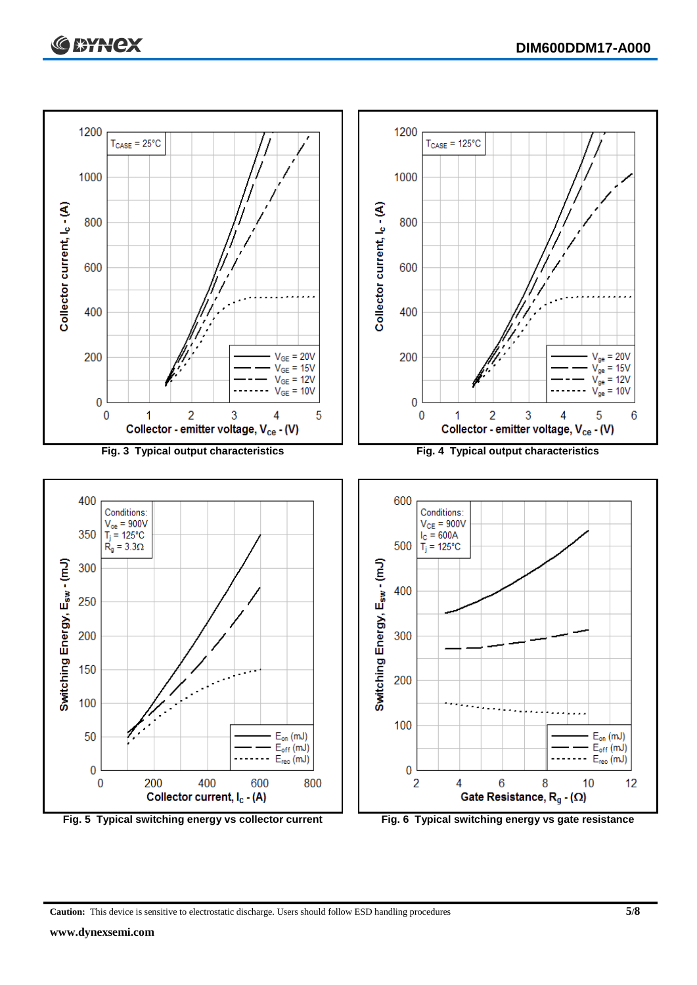

**Caution:** This device is sensitive to electrostatic discharge. Users should follow ESD handling procedures **5/8**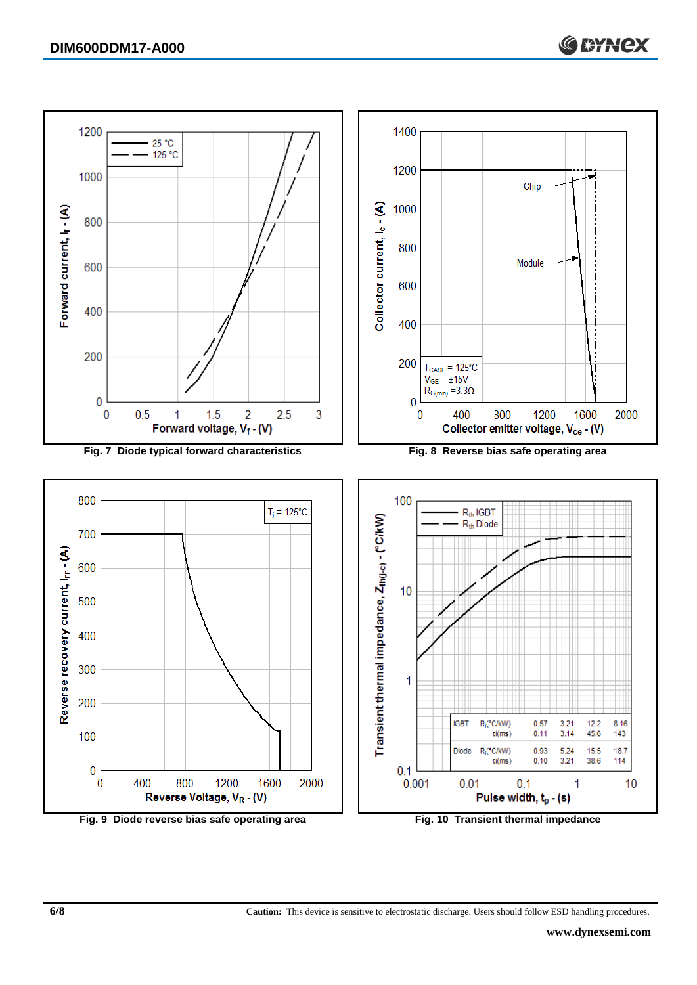

**Fig. 9 Diode reverse bias safe operating area Fig. 10 Transient thermal impedance**

**6/8 Caution:** This device is sensitive to electrostatic discharge. Users should follow ESD handling procedures.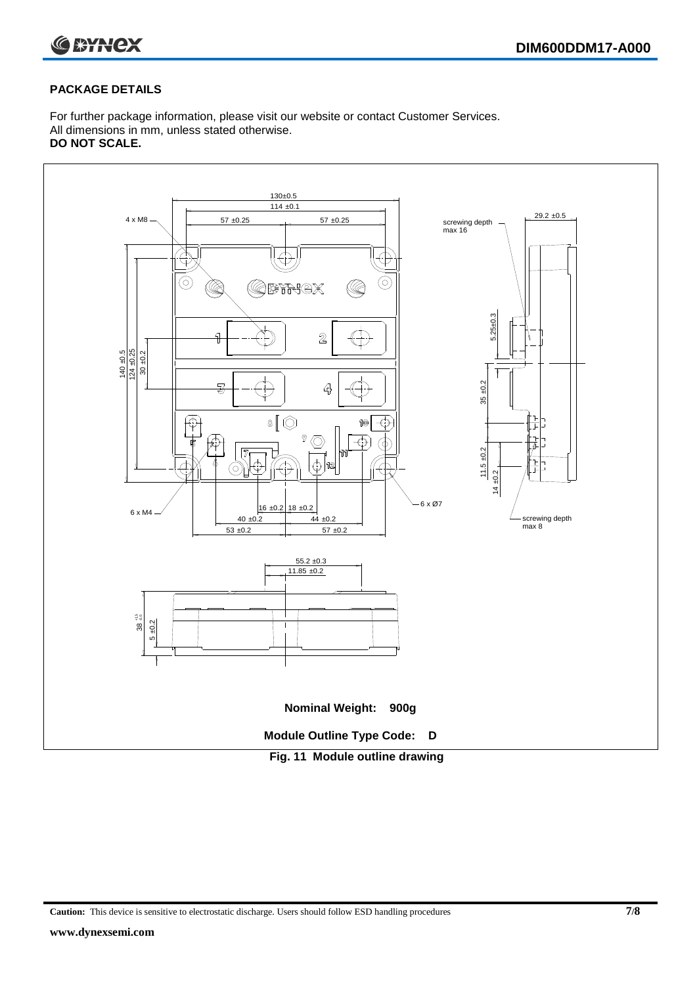

#### **PACKAGE DETAILS**

For further package information, please visit our website or contact Customer Services. All dimensions in mm, unless stated otherwise. **DO NOT SCALE.**



**Caution:** This device is sensitive to electrostatic discharge. Users should follow ESD handling procedures **7/8**